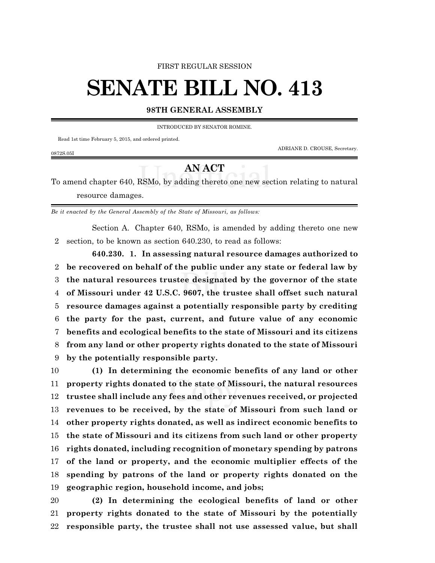FIRST REGULAR SESSION

## **SENATE BILL NO. 413**

## **98TH GENERAL ASSEMBLY**

INTRODUCED BY SENATOR ROMINE.

Read 1st time February 5, 2015, and ordered printed.

ADRIANE D. CROUSE, Secretary.

0872S.05I

## **AN ACT**

To amend chapter 640, RSMo, by adding thereto one new section relating to natural resource damages.

*Be it enacted by the General Assembly of the State of Missouri, as follows:*

Section A. Chapter 640, RSMo, is amended by adding thereto one new section, to be known as section 640.230, to read as follows:

**640.230. 1. In assessing natural resource damages authorized to be recovered on behalf of the public under any state or federal law by the natural resources trustee designated by the governor of the state of Missouri under 42 U.S.C. 9607, the trustee shall offset such natural resource damages against a potentially responsible party by crediting the party for the past, current, and future value of any economic benefits and ecological benefits to the state of Missouri and its citizens from any land or other property rights donated to the state of Missouri by the potentially responsible party.**

 **(1) In determining the economic benefits of any land or other property rights donated to the state of Missouri, the natural resources trustee shall include any fees and other revenues received, or projected revenues to be received, by the state of Missouri from such land or other property rights donated, as well as indirect economic benefits to the state of Missouri and its citizens from such land or other property rights donated, including recognition of monetary spending by patrons of the land or property, and the economic multiplier effects of the spending by patrons of the land or property rights donated on the geographic region, household income, and jobs;**

 **(2) In determining the ecological benefits of land or other property rights donated to the state of Missouri by the potentially responsible party, the trustee shall not use assessed value, but shall**